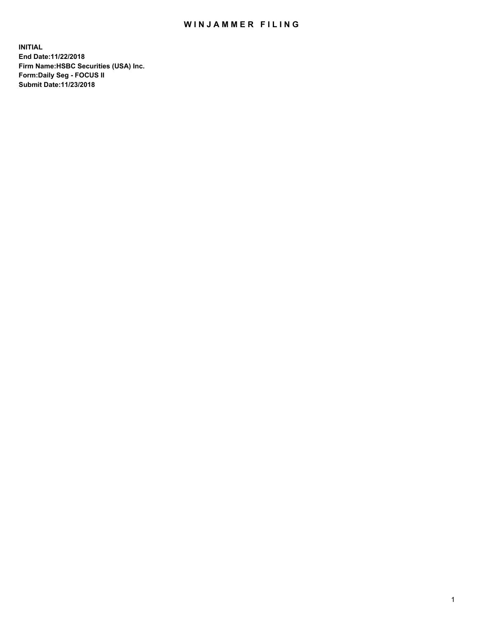## WIN JAMMER FILING

**INITIAL End Date:11/22/2018 Firm Name:HSBC Securities (USA) Inc. Form:Daily Seg - FOCUS II Submit Date:11/23/2018**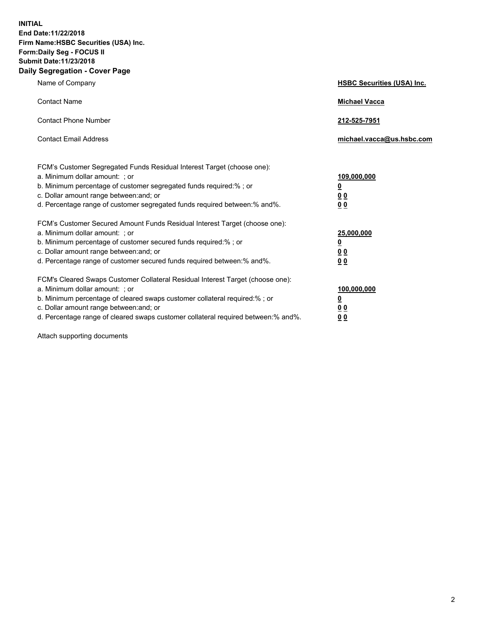**INITIAL End Date:11/22/2018 Firm Name:HSBC Securities (USA) Inc. Form:Daily Seg - FOCUS II Submit Date:11/23/2018 Daily Segregation - Cover Page**

| Name of Company                                                                                                                                                                                                                                                                                                                | <b>HSBC Securities (USA) Inc.</b>                                          |
|--------------------------------------------------------------------------------------------------------------------------------------------------------------------------------------------------------------------------------------------------------------------------------------------------------------------------------|----------------------------------------------------------------------------|
| <b>Contact Name</b>                                                                                                                                                                                                                                                                                                            | <b>Michael Vacca</b>                                                       |
| <b>Contact Phone Number</b>                                                                                                                                                                                                                                                                                                    | 212-525-7951                                                               |
| <b>Contact Email Address</b>                                                                                                                                                                                                                                                                                                   | michael.vacca@us.hsbc.com                                                  |
| FCM's Customer Segregated Funds Residual Interest Target (choose one):<br>a. Minimum dollar amount: : or<br>b. Minimum percentage of customer segregated funds required:% ; or<br>c. Dollar amount range between: and; or<br>d. Percentage range of customer segregated funds required between:% and%.                         | 109,000,000<br>$\overline{\mathbf{0}}$<br>0 <sub>0</sub><br>0 <sub>0</sub> |
| FCM's Customer Secured Amount Funds Residual Interest Target (choose one):<br>a. Minimum dollar amount: ; or<br>b. Minimum percentage of customer secured funds required:%; or<br>c. Dollar amount range between: and; or<br>d. Percentage range of customer secured funds required between:% and%.                            | 25,000,000<br><u>0</u><br>0 <sub>0</sub><br>00                             |
| FCM's Cleared Swaps Customer Collateral Residual Interest Target (choose one):<br>a. Minimum dollar amount: ; or<br>b. Minimum percentage of cleared swaps customer collateral required:% ; or<br>c. Dollar amount range between: and; or<br>d. Percentage range of cleared swaps customer collateral required between:% and%. | 100,000,000<br><u>0</u><br>00<br>0 <sub>0</sub>                            |

Attach supporting documents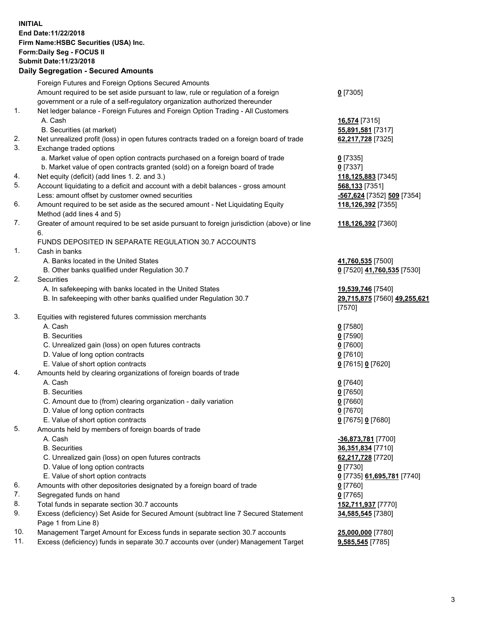**INITIAL End Date:11/22/2018 Firm Name:HSBC Securities (USA) Inc. Form:Daily Seg - FOCUS II Submit Date:11/23/2018 Daily Segregation - Secured Amounts**

## Foreign Futures and Foreign Options Secured Amounts Amount required to be set aside pursuant to law, rule or regulation of a foreign government or a rule of a self-regulatory organization authorized thereunder **0** [7305] 1. Net ledger balance - Foreign Futures and Foreign Option Trading - All Customers A. Cash **16,574** [7315] B. Securities (at market) **55,891,581** [7317] 2. Net unrealized profit (loss) in open futures contracts traded on a foreign board of trade **62,217,728** [7325] 3. Exchange traded options a. Market value of open option contracts purchased on a foreign board of trade **0** [7335] b. Market value of open contracts granted (sold) on a foreign board of trade **0** [7337] 4. Net equity (deficit) (add lines 1. 2. and 3.) **118,125,883** [7345] 5. Account liquidating to a deficit and account with a debit balances - gross amount **568,133** [7351] Less: amount offset by customer owned securities **-567,624** [7352] **509** [7354] 6. Amount required to be set aside as the secured amount - Net Liquidating Equity Method (add lines 4 and 5) **118,126,392** [7355] 7. Greater of amount required to be set aside pursuant to foreign jurisdiction (above) or line 6. **118,126,392** [7360] FUNDS DEPOSITED IN SEPARATE REGULATION 30.7 ACCOUNTS 1. Cash in banks A. Banks located in the United States **41,760,535** [7500] B. Other banks qualified under Regulation 30.7 **0** [7520] **41,760,535** [7530] 2. Securities A. In safekeeping with banks located in the United States **19,539,746** [7540] B. In safekeeping with other banks qualified under Regulation 30.7 **29,715,875** [7560] **49,255,621** [7570] 3. Equities with registered futures commission merchants A. Cash **0** [7580] B. Securities **0** [7590] C. Unrealized gain (loss) on open futures contracts **0** [7600] D. Value of long option contracts **0** [7610] E. Value of short option contracts **0** [7615] **0** [7620] 4. Amounts held by clearing organizations of foreign boards of trade A. Cash **0** [7640] B. Securities **0** [7650] C. Amount due to (from) clearing organization - daily variation **0** [7660] D. Value of long option contracts **0** [7670] E. Value of short option contracts **0** [7675] **0** [7680] 5. Amounts held by members of foreign boards of trade A. Cash **-36,873,781** [7700] B. Securities **36,351,834** [7710] C. Unrealized gain (loss) on open futures contracts **62,217,728** [7720] D. Value of long option contracts **0** [7730] E. Value of short option contracts **0** [7735] **61,695,781** [7740] 6. Amounts with other depositories designated by a foreign board of trade **0** [7760] 7. Segregated funds on hand **0** [7765] 8. Total funds in separate section 30.7 accounts **152,711,937** [7770] 9. Excess (deficiency) Set Aside for Secured Amount (subtract line 7 Secured Statement Page 1 from Line 8) **34,585,545** [7380] 10. Management Target Amount for Excess funds in separate section 30.7 accounts **25,000,000** [7780] 11. Excess (deficiency) funds in separate 30.7 accounts over (under) Management Target **9,585,545** [7785]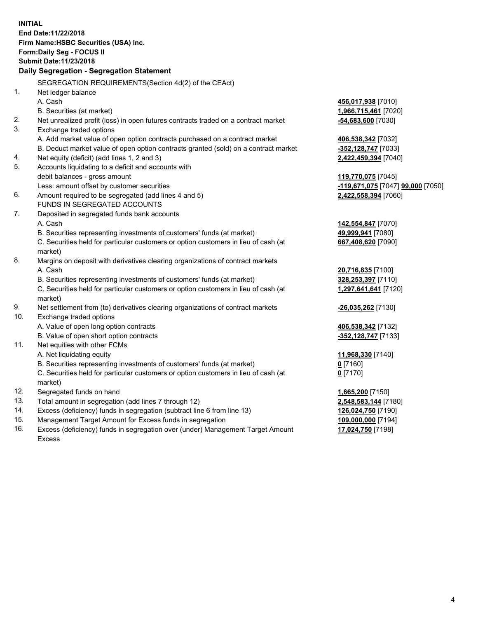**INITIAL End Date:11/22/2018 Firm Name:HSBC Securities (USA) Inc. Form:Daily Seg - FOCUS II Submit Date:11/23/2018 Daily Segregation - Segregation Statement** SEGREGATION REQUIREMENTS(Section 4d(2) of the CEAct) 1. Net ledger balance A. Cash **456,017,938** [7010] B. Securities (at market) **1,966,715,461** [7020] 2. Net unrealized profit (loss) in open futures contracts traded on a contract market **-54,683,600** [7030] 3. Exchange traded options A. Add market value of open option contracts purchased on a contract market **406,538,342** [7032] B. Deduct market value of open option contracts granted (sold) on a contract market **-352,128,747** [7033] 4. Net equity (deficit) (add lines 1, 2 and 3) **2,422,459,394** [7040] 5. Accounts liquidating to a deficit and accounts with debit balances - gross amount **119,770,075** [7045] Less: amount offset by customer securities **-119,671,075** [7047] **99,000** [7050] 6. Amount required to be segregated (add lines 4 and 5) **2,422,558,394** [7060] FUNDS IN SEGREGATED ACCOUNTS 7. Deposited in segregated funds bank accounts A. Cash **142,554,847** [7070] B. Securities representing investments of customers' funds (at market) **49,999,941** [7080] C. Securities held for particular customers or option customers in lieu of cash (at market) **667,408,620** [7090] 8. Margins on deposit with derivatives clearing organizations of contract markets A. Cash **20,716,835** [7100] B. Securities representing investments of customers' funds (at market) **328,253,397** [7110] C. Securities held for particular customers or option customers in lieu of cash (at market) **1,297,641,641** [7120] 9. Net settlement from (to) derivatives clearing organizations of contract markets **-26,035,262** [7130] 10. Exchange traded options A. Value of open long option contracts **406,538,342** [7132] B. Value of open short option contracts **-352,128,747** [7133] 11. Net equities with other FCMs A. Net liquidating equity **11,968,330** [7140] B. Securities representing investments of customers' funds (at market) **0** [7160] C. Securities held for particular customers or option customers in lieu of cash (at market) **0** [7170] 12. Segregated funds on hand **1,665,200** [7150] 13. Total amount in segregation (add lines 7 through 12) **2,548,583,144** [7180] 14. Excess (deficiency) funds in segregation (subtract line 6 from line 13) **126,024,750** [7190] 15. Management Target Amount for Excess funds in segregation **109,000,000** [7194] **17,024,750** [7198]

16. Excess (deficiency) funds in segregation over (under) Management Target Amount Excess